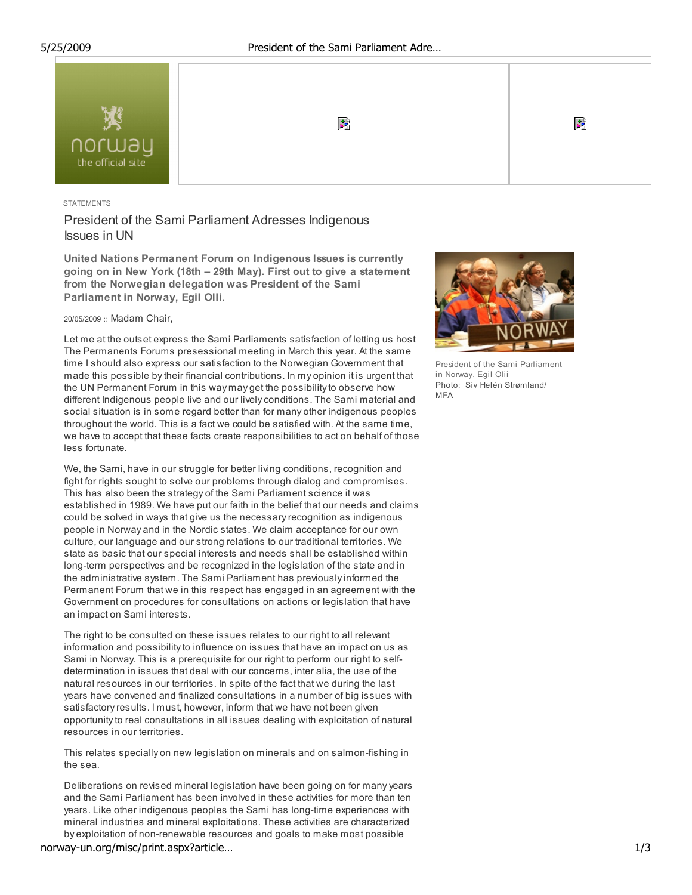

### **STATEMENTS**

# President of the Sami Parliament Adresses Indigenous Issues in UN

United Nations Permanent Forum on Indigenous Issues is currently going on in New York (18th – 29th May). First out to give a statement from the Norwegian delegation was President of the Sami Parliament in Norway, Egil Olli.

### 20/05/2009 :: Madam Chair,

Let me at the outset express the Sami Parliaments satisfaction of letting us host The Permanents Forums presessional meeting in March this year. At the same time I should also express our satisfaction to the Norwegian Government that made this possible by their financial contributions. In my opinion it is urgent that the UN Permanent Forum in this way may get the possibility to observe how different Indigenous people live and our lively conditions. The Sami material and social situation is in some regard better than for many other indigenous peoples throughout the world. This is a fact we could be satisfied with. At the same time, we have to accept that these facts create responsibilities to act on behalf of those less fortunate.

We, the Sami, have in our struggle for better living conditions, recognition and fight for rights sought to solve our problems through dialog and compromises. This has also been the strategy of the Sami Parliament science it was established in 1989. We have put our faith in the belief that our needs and claims could be solved in ways that give us the necessary recognition as indigenous people in Norway and in the Nordic states. We claim acceptance for our own culture, our language and our strong relations to our traditional territories. We state as basic that our special interests and needs shall be established within long-term perspectives and be recognized in the legislation of the state and in the administrative system. The Sami Parliament has previously informed the Permanent Forum that we in this respect has engaged in an agreement with the Government on procedures for consultations on actions or legislation that have an impact on Sami interests.

The right to be consulted on these issues relates to our right to all relevant information and possibility to influence on issues that have an impact on us as Sami in Norway. This is a prerequisite for our right to perform our right to selfdetermination in issues that deal with our concerns, inter alia, the use of the natural resources in our territories. In spite of the fact that we during the last years have convened and finalized consultations in a number of big issues with satisfactory results. I must, however, inform that we have not been given opportunity to real consultations in all issues dealing with exploitation of natural resources in our territories.

This relates specially on new legislation on minerals and on salmon-fishing in the sea.

Deliberations on revised mineral legislation have been going on for many years and the Sami Parliament has been involved in these activities for more than ten years. Like other indigenous peoples the Sami has long-time experiences with mineral industries and mineral exploitations. These activities are characterized by exploitation of non-renewable resources and goals to make most possible

norway-un.org/misc/print.aspx?article… 1/3



President of the Sami Parliament in Norway, Egil Olii Photo: Siv Helén Strømland/ MFA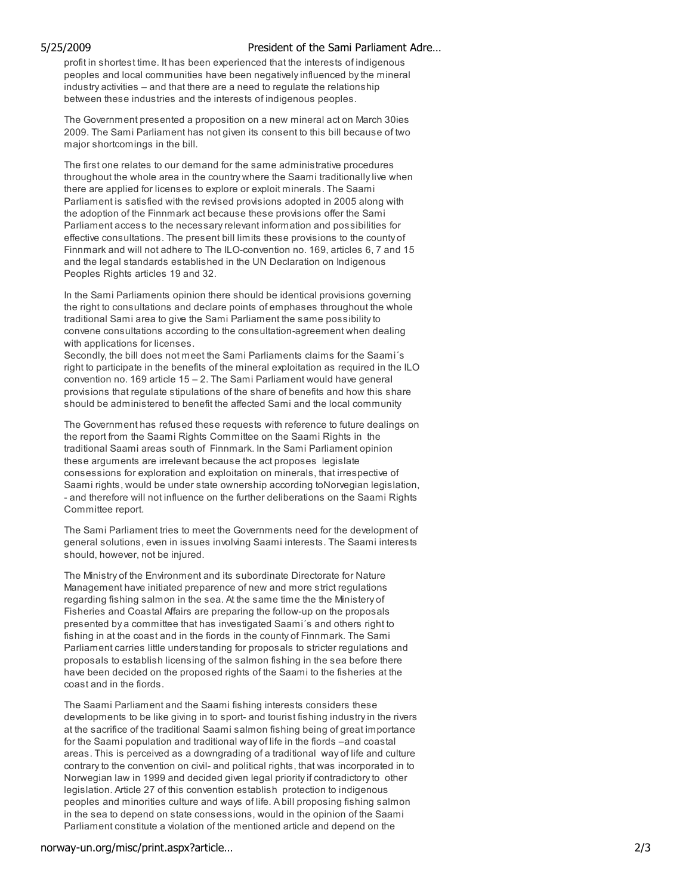## 5/25/2009 President of the Sami Parliament Adre…

profit in shortest time. It has been experienced that the interests of indigenous peoples and local communities have been negatively influenced by the mineral industry activities – and that there are a need to regulate the relationship between these industries and the interests of indigenous peoples.

The Government presented a proposition on a new mineral act on March 30ies 2009. The Sami Parliament has not given its consent to this bill because of two major shortcomings in the bill.

The first one relates to our demand for the same administrative procedures throughout the whole area in the country where the Saami traditionally live when there are applied for licenses to explore or exploit minerals. The Saami Parliament is satisfied with the revised provisions adopted in 2005 along with the adoption of the Finnmark act because these provisions offer the Sami Parliament access to the necessary relevant information and possibilities for effective consultations. The present bill limits these provisions to the county of Finnmark and will not adhere to The ILO-convention no. 169, articles 6, 7 and 15 and the legal standards established in the UN Declaration on Indigenous Peoples Rights articles 19 and 32.

In the Sami Parliaments opinion there should be identical provisions governing the right to consultations and declare points of emphases throughout the whole traditional Sami area to give the Sami Parliament the same possibility to convene consultations according to the consultation-agreement when dealing with applications for licenses.

Secondly, the bill does not meet the Sami Parliaments claims for the Saami´s right to participate in the benefits of the mineral exploitation as required in the ILO convention no. 169 article 15 – 2. The Sami Parliament would have general provisions that regulate stipulations of the share of benefits and how this share should be administered to benefit the affected Sami and the local community

The Government has refused these requests with reference to future dealings on the report from the Saami Rights Committee on the Saami Rights in the traditional Saami areas south of Finnmark. In the Sami Parliament opinion these arguments are irrelevant because the act proposes legislate consessions for exploration and exploitation on minerals, that irrespective of Saami rights, would be under state ownership according toNorvegian legislation, - and therefore will not influence on the further deliberations on the Saami Rights Committee report.

The Sami Parliament tries to meet the Governments need for the development of general solutions, even in issues involving Saami interests. The Saami interests should, however, not be injured.

The Ministry of the Environment and its subordinate Directorate for Nature Management have initiated preparence of new and more strict regulations regarding fishing salmon in the sea. At the same time the the Ministery of Fisheries and Coastal Affairs are preparing the follow-up on the proposals presented by a committee that has investigated Saami´s and others right to fishing in at the coast and in the fiords in the county of Finnmark. The Sami Parliament carries little understanding for proposals to stricter regulations and proposals to establish licensing of the salmon fishing in the sea before there have been decided on the proposed rights of the Saami to the fisheries at the coast and in the fiords.

The Saami Parliament and the Saami fishing interests considers these developments to be like giving in to sport- and tourist fishing industry in the rivers at the sacrifice of the traditional Saami salmon fishing being of great importance for the Saami population and traditional way of life in the fiords –and coastal areas. This is perceived as a downgrading of a traditional way of life and culture contrary to the convention on civil- and political rights, that was incorporated in to Norwegian law in 1999 and decided given legal priority if contradictory to other legislation. Article 27 of this convention establish protection to indigenous peoples and minorities culture and ways of life. A bill proposing fishing salmon in the sea to depend on state consessions, would in the opinion of the Saami Parliament constitute a violation of the mentioned article and depend on the